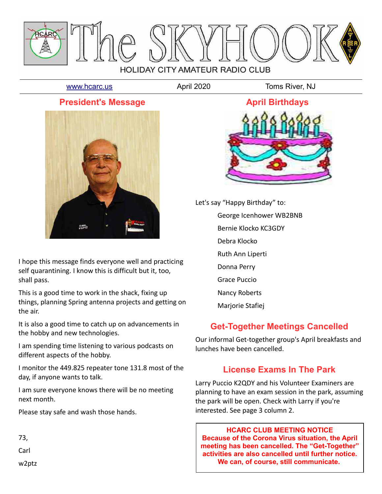

[www.hcarc.us](http://www.hcarc.us/) **April 2020** Toms River, NJ

### **President's Message**



I hope this message finds everyone well and practicing self quarantining. I know this is difficult but it, too, shall pass.

This is a good time to work in the shack, fixing up things, planning Spring antenna projects and getting on the air.

It is also a good time to catch up on advancements in the hobby and new technologies.

I am spending time listening to various podcasts on different aspects of the hobby.

I monitor the 449.825 repeater tone 131.8 most of the day, if anyone wants to talk.

I am sure everyone knows there will be no meeting next month.

Please stay safe and wash those hands.

73,

Carl

w2ptz



Let's say "Happy Birthday" to:

George Icenhower WB2BNB

Bernie Klocko KC3GDY

Debra Klocko

Ruth Ann Liperti

Donna Perry

Grace Puccio

Nancy Roberts

Marjorie Stafiej

## **Get-Together Meetings Cancelled**

Our informal Get-together group's April breakfasts and lunches have been cancelled.

## **License Exams In The Park**

Larry Puccio K2QDY and his Volunteer Examiners are planning to have an exam session in the park, assuming the park will be open. Check with Larry if you're interested. See page 3 column 2.

**HCARC CLUB MEETING NOTICE Because of the Corona Virus situation, the April meeting has been cancelled. The "Get-Together" activities are also cancelled until further notice. We can, of course, still communicate.**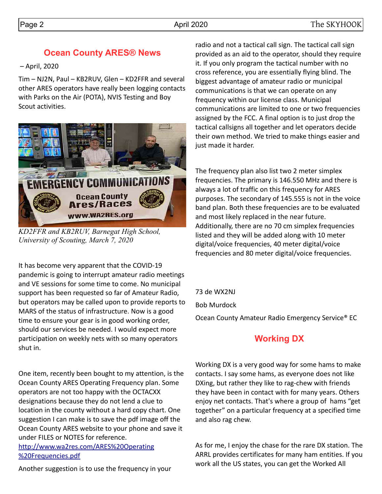### **Ocean County ARES® News**

– April, 2020

Tim – NJ2N, Paul – KB2RUV, Glen – KD2FFR and several other ARES operators have really been logging contacts with Parks on the Air (POTA), NVIS Testing and Boy Scout activities.



*KD2FFR and KB2RUV, Barnegat High School, University of Scouting, March 7, 2020*

It has become very apparent that the COVID-19 pandemic is going to interrupt amateur radio meetings and VE sessions for some time to come. No municipal support has been requested so far of Amateur Radio, but operators may be called upon to provide reports to MARS of the status of infrastructure. Now is a good time to ensure your gear is in good working order, should our services be needed. I would expect more participation on weekly nets with so many operators shut in.

One item, recently been bought to my attention, is the Ocean County ARES Operating Frequency plan. Some operators are not too happy with the OCTACXX designations because they do not lend a clue to location in the county without a hard copy chart. One suggestion I can make is to save the pdf image off the Ocean County ARES website to your phone and save it under FILES or NOTES for reference.

[http://www.wa2res.com/ARES%20Operating](http://www.wa2res.com/ARES%20Operating%20Frequencies.pdf) [%20Frequencies.pdf](http://www.wa2res.com/ARES%20Operating%20Frequencies.pdf)

Another suggestion is to use the frequency in your

radio and not a tactical call sign. The tactical call sign provided as an aid to the operator, should they require it. If you only program the tactical number with no cross reference, you are essentially flying blind. The biggest advantage of amateur radio or municipal communications is that we can operate on any frequency within our license class. Municipal communications are limited to one or two frequencies assigned by the FCC. A final option is to just drop the tactical callsigns all together and let operators decide their own method. We tried to make things easier and just made it harder.

The frequency plan also list two 2 meter simplex frequencies. The primary is 146.550 MHz and there is always a lot of traffic on this frequency for ARES purposes. The secondary of 145.555 is not in the voice band plan. Both these frequencies are to be evaluated and most likely replaced in the near future. Additionally, there are no 70 cm simplex frequencies listed and they will be added along with 10 meter digital/voice frequencies, 40 meter digital/voice frequencies and 80 meter digital/voice frequencies.

73 de WX2NJ Bob Murdock Ocean County Amateur Radio Emergency Service® EC

## **Working DX**

Working DX is a very good way for some hams to make contacts. I say some hams, as everyone does not like DXing, but rather they like to rag-chew with friends they have been in contact with for many years. Others enjoy net contacts. That's where a group of hams "get together" on a particular frequency at a specified time and also rag chew.

As for me, I enjoy the chase for the rare DX station. The ARRL provides certificates for many ham entities. If you work all the US states, you can get the Worked All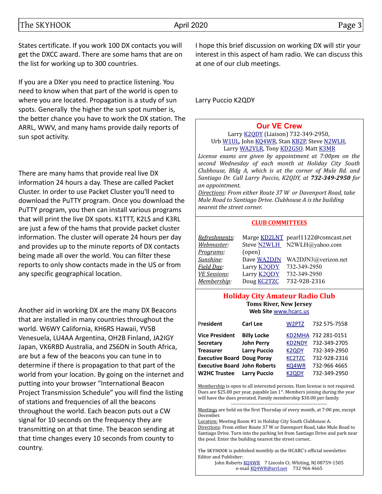States certificate. If you work 100 DX contacts you will get the DXCC award. There are some hams that are on the list for working up to 300 countries.

If you are a DXer you need to practice listening. You need to know when that part of the world is open to where you are located. Propagation is a study of sun spots. Generally the higher the sun spot number is, the better chance you have to work the DX station. The ARRL, WWV, and many hams provide daily reports of sun spot activity.

There are many hams that provide real live DX information 24 hours a day. These are called Packet Cluster. In order to use Packet Cluster you'll need to download the PuTTY program. Once you download the PuTTY program, you then can install various programs that will print the live DX spots. K1TTT, K2LS and K3RL are just a few of the hams that provide packet cluster information. The cluster will operate 24 hours per day and provides up to the minute reports of DX contacts being made all over the world. You can filter these reports to only show contacts made in the US or from any specific geographical location.

Another aid in working DX are the many DX Beacons that are installed in many countries throughout the world. W6WY California, KH6RS Hawaii, YV5B Venesuela, LU4AA Argentina, OH2B Finland, JA2IGY Japan, VK6RBD Australia, and ZS6DN in South Africa, are but a few of the beacons you can tune in to determine if there is propagation to that part of the world from your location. By going on the internet and putting into your browser "International Beacon Project Transmission Schedule" you will find the listing of stations and frequencies of all the beacons throughout the world. Each beacon puts out a CW signal for 10 seconds on the frequency they are transmitting on at that time. The beacon sending at that time changes every 10 seconds from county to country.

I hope this brief discussion on working DX will stir your interest in this aspect of ham radio. We can discuss this at one of our club meetings.

Larry Puccio K2QDY

### **[Our VE Crew](mailto:lpuccio1@comcast.net?subject=VE)**

Larry [K2QDY](mailto:lpuccio071@gmail.com) (Liaison) 732-349-2950, Urb [W1UL,](mailto:urb@W1UL.com) John [KQ4WR,](mailto:kq4wr@arrl.net) Stan [KB2P,](mailto:kb2pd@hotmail.com) Steve [N2WLH,](mailto:n2wlh@yahoo.com) Larry [WA2VLR,](mailto:lloscalz@optonline.net) Tony [KD2GSO.](mailto:tonyk613@comcast.net) Matt [K3MR](mailto:baltimatt@verizon.net)

*License exams are given by appointment at 7:00pm on the second Wednesday of each month at Holiday City South Clubhouse, Bldg A, which is at the corner of Mule Rd. and Santiago Dr. Call Larry Puccio, K2QDY, at 732-349-2950 for an appointment.* 

*Directions: From either Route 37 W or Davenport Road, take Mule Road to Santiago Drive. Clubhouse A is the building nearest the street corner.*

#### **CLUB COMMITTEES**

| Refreshments:       |                    | Marge KD2LNT pearl1122@comcast.net |
|---------------------|--------------------|------------------------------------|
| Webmaster:          |                    | Steve N2WLH N2WLH@yahoo.com        |
| Programs:           | (open)             |                                    |
| Sunshine:           | Dave WA2DJN        | WA2DJN3@verizon.net                |
| Field Day:          | Larry <b>K2QDY</b> | 732-349-2950                       |
| <b>VE Sessions:</b> | Larry <b>K2QDY</b> | 732-349-2950                       |
| Membership:         | Doug <b>KC2TZC</b> | 732-928-2316                       |

#### **Holiday City Amateur Radio Club Toms River, New Jersey Web Site** [www.hcarc.us](http://www.hcarc.us/)

| President                           | Carl Lee            | W2PTZ              | 732 575-7558        |
|-------------------------------------|---------------------|--------------------|---------------------|
| <b>Vice President</b>               | <b>Billy Locke</b>  |                    | KD2MHA 732 281-0151 |
| <b>Secretary</b>                    | <b>John Perry</b>   | <b>KD2NDY</b>      | 732-349-2705        |
| <b>Treasurer</b>                    | <b>Larry Puccio</b> | K <sub>2</sub> ODY | 732-349-2950        |
| <b>Executive Board Doug Poray</b>   |                     | <b>KC2TZC</b>      | 732-928-2316        |
| <b>Executive Board John Roberts</b> |                     | KQ4WR              | 732-966 4665        |
| <b>W2HC Trustee</b>                 | <b>Larry Puccio</b> | K <sub>2</sub> ODY | 732-349-2950        |

Membership is open to all interested persons. Ham license is not required. Dues are \$25.00 per year, payable Jan  $1<sup>st</sup>$ . Members joining during the year will have the dues prorated. Family membership \$30.00 per family.

---------------------------------------------------------- Meetings are held on the first Thursday of every month, at 7:00 pm, except December.

Location: Meeting Room #1 in Holiday City South Clubhouse A. Directions: From either Route 37 W or Davenport Road, take Mule Road to Santiago Drive. Turn into the parking lot from Santiago Drive and park near the pool. Enter the building nearest the street corner..

The SKYHOOK is published monthly as the HCARC's official newsletter. Editor and Publisher:

John Roberts [KQ4WR](mailto:kq4wr@arrl.net) 7 Lincoln Ct. Whiting, NJ 08759-1505 e-mail [KQ4WR@arrl.net](mailto:KQ4WR@arrl.net) 732 966 4665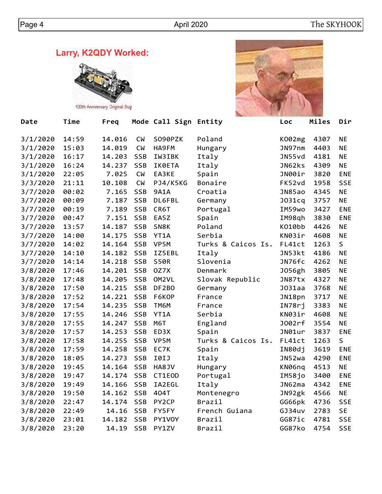**Larry, K2QDY Worked:**



100th Anniversary Original Bug



| Date     | Time  | Freq   |            | Mode Call Sign Entity |                    | Loc    | Miles | Dir        |
|----------|-------|--------|------------|-----------------------|--------------------|--------|-------|------------|
| 3/1/2020 | 14:59 | 14.016 | <b>CM</b>  | S090PZK               | Poland             | K002mg | 4307  | <b>NE</b>  |
| 3/1/2020 | 15:03 | 14.019 | <b>CW</b>  | HA9FM                 | Hungary            | JN97nm | 4403  | <b>NE</b>  |
| 3/1/2020 | 16:17 | 14.203 | <b>SSB</b> | IW3IBK                | Italy              | JN55vd | 4181  | <b>NE</b>  |
| 3/1/2020 | 16:24 | 14.237 | <b>SSB</b> | IK0ETA                | Italy              | JN62ks | 4309  | <b>NE</b>  |
| 3/1/2020 | 22:05 | 7.025  | <b>CM</b>  | EA3KE                 | Spain              | JN00ir | 3820  | ENE        |
| 3/3/2020 | 21:11 | 10.108 | <b>CW</b>  | PJ4/K5KG              | Bonaire            | FK52vd | 1958  | <b>SSE</b> |
| 3/7/2020 | 00:02 | 7.165  | <b>SSB</b> | 9A1A                  | Croatia            | JN85ao | 4345  | <b>NE</b>  |
| 3/7/2020 | 00:09 | 7.187  | <b>SSB</b> | DL6FBL                | Germany            | JO31cq | 3757  | <b>NE</b>  |
| 3/7/2020 | 00:19 | 7.189  | <b>SSB</b> | CR6T                  | Portugal           | IM59wo | 3427  | ENE        |
| 3/7/2020 | 00:47 | 7.151  | <b>SSB</b> | EA5Z                  | Spain              | IM98qh | 3830  | <b>ENE</b> |
| 3/7/2020 | 13:57 | 14.187 | <b>SSB</b> | SN8K                  | Poland             | K010bb | 4426  | <b>NE</b>  |
| 3/7/2020 | 14:00 | 14.175 | SSB        | YT1A                  | Serbia             | KN03ir | 4608  | <b>NE</b>  |
| 3/7/2020 | 14:02 | 14.164 | <b>SSB</b> | VP5M                  | Turks & Caicos Is. | FL41ct | 1263  | S          |
| 3/7/2020 | 14:10 | 14.182 | <b>SSB</b> | IZ5EBL                | Italy              | JN53kt | 4186  | <b>NE</b>  |
| 3/7/2020 | 14:14 | 14.218 | <b>SSB</b> | <b>S50R</b>           | Slovenia           | JN76fc | 4262  | <b>NE</b>  |
| 3/8/2020 | 17:46 | 14.201 | <b>SSB</b> | 0Z7X                  | Denmark            | J056gh | 3805  | <b>NE</b>  |
| 3/8/2020 | 17:48 | 14.205 | <b>SSB</b> | OM2VL                 | Slovak Republic    | JN87tx | 4327  | <b>NE</b>  |
| 3/8/2020 | 17:50 | 14.215 | <b>SSB</b> | DF2BO                 | Germany            | JO31aa | 3768  | <b>NE</b>  |
| 3/8/2020 | 17:52 | 14.221 | <b>SSB</b> | F6KOP                 | France             | JN18pn | 3717  | <b>NE</b>  |
| 3/8/2020 | 17:54 | 14.235 | SSB        | TM6M                  | France             | IN78rj | 3383  | <b>NE</b>  |
| 3/8/2020 | 17:55 | 14.246 | SSB        | YT1A                  | Serbia             | KN03ir | 4608  | <b>NE</b>  |
| 3/8/2020 | 17:55 | 14.247 | SSB        | M6T                   | England            | J002rf | 3554  | <b>NE</b>  |
| 3/8/2020 | 17:57 | 14.253 | SSB        | ED3X                  | Spain              | JN01ur | 3837  | ENE        |
| 3/8/2020 | 17:58 | 14.255 | SSB        | VP5M                  | Turks & Caicos Is. | FL41ct | 1263  | S          |
| 3/8/2020 | 17:59 | 14.258 | <b>SSB</b> | EC7K                  | Spain              | IN80dj | 3619  | <b>ENE</b> |
| 3/8/2020 | 18:05 | 14.273 | <b>SSB</b> | I0IJ                  | Italy              | JN52wa | 4290  | <b>ENE</b> |
| 3/8/2020 | 19:45 | 14.164 | <b>SSB</b> | HA8JV                 | Hungary            | KN06nq | 4513  | <b>NE</b>  |
| 3/8/2020 | 19:47 | 14.174 | <b>SSB</b> | CT1EOD                | Portugal           | IM58jo | 3400  | ENE        |
| 3/8/2020 | 19:49 | 14.166 | <b>SSB</b> | IA2EGL                | Italy              | JNG2ma | 4342  | ENE        |
| 3/8/2020 | 19:50 | 14.162 | <b>SSB</b> | 404T                  | Montenegro         | JN92gk | 4566  | <b>NE</b>  |
| 3/8/2020 | 22:47 | 14.174 | <b>SSB</b> | PY2CP                 | Brazil             | GG66pk | 4736  | <b>SSE</b> |
| 3/8/2020 | 22:49 | 14.16  | <b>SSB</b> | FY5FY                 | French Guiana      | GJ34uv | 2783  | <b>SE</b>  |
| 3/8/2020 | 23:01 | 14.182 | <b>SSB</b> | PY1V0Y                | Brazil             | GG87ic | 4781  | <b>SSE</b> |
| 3/8/2020 | 23:20 | 14.19  | <b>SSB</b> | PY1ZV                 | Brazil             | GG87ko | 4754  | <b>SSE</b> |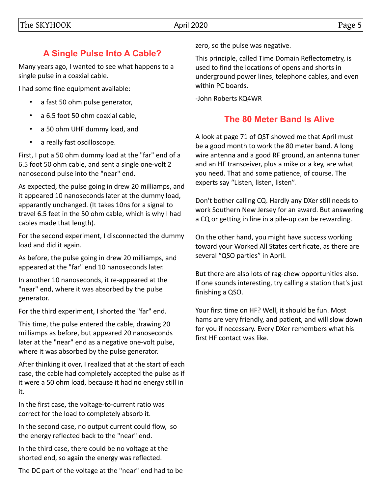# **A Single Pulse Into A Cable?**

Many years ago, I wanted to see what happens to a single pulse in a coaxial cable.

I had some fine equipment available:

- a fast 50 ohm pulse generator,
- a 6.5 foot 50 ohm coaxial cable,
- a 50 ohm UHF dummy load, and
- a really fast oscilloscope.

First, I put a 50 ohm dummy load at the "far" end of a 6.5 foot 50 ohm cable, and sent a single one-volt 2 nanosecond pulse into the "near" end.

As expected, the pulse going in drew 20 milliamps, and it appeared 10 nanoseconds later at the dummy load, apparantly unchanged. (It takes 10ns for a signal to travel 6.5 feet in the 50 ohm cable, which is why I had cables made that length).

For the second experiment, I disconnected the dummy load and did it again.

As before, the pulse going in drew 20 milliamps, and appeared at the "far" end 10 nanoseconds later.

In another 10 nanoseconds, it re-appeared at the "near" end, where it was absorbed by the pulse generator.

For the third experiment, I shorted the "far" end.

This time, the pulse entered the cable, drawing 20 milliamps as before, but appeared 20 nanoseconds later at the "near" end as a negative one-volt pulse, where it was absorbed by the pulse generator.

After thinking it over, I realized that at the start of each case, the cable had completely accepted the pulse as if it were a 50 ohm load, because it had no energy still in it.

In the first case, the voltage-to-current ratio was correct for the load to completely absorb it.

In the second case, no output current could flow, so the energy reflected back to the "near" end.

In the third case, there could be no voltage at the shorted end, so again the energy was reflected.

The DC part of the voltage at the "near" end had to be

zero, so the pulse was negative.

This principle, called Time Domain Reflectometry, is used to find the locations of opens and shorts in underground power lines, telephone cables, and even within PC boards.

-John Roberts KQ4WR

# **The 80 Meter Band Is Alive**

A look at page 71 of QST showed me that April must be a good month to work the 80 meter band. A long wire antenna and a good RF ground, an antenna tuner and an HF transceiver, plus a mike or a key, are what you need. That and some patience, of course. The experts say "Listen, listen, listen".

Don't bother calling CQ. Hardly any DXer still needs to work Southern New Jersey for an award. But answering a CQ or getting in line in a pile-up can be rewarding.

On the other hand, you might have success working toward your Worked All States certificate, as there are several "QSO parties" in April.

But there are also lots of rag-chew opportunities also. If one sounds interesting, try calling a station that's just finishing a QSO.

Your first time on HF? Well, it should be fun. Most hams are very friendly, and patient, and will slow down for you if necessary. Every DXer remembers what his first HF contact was like.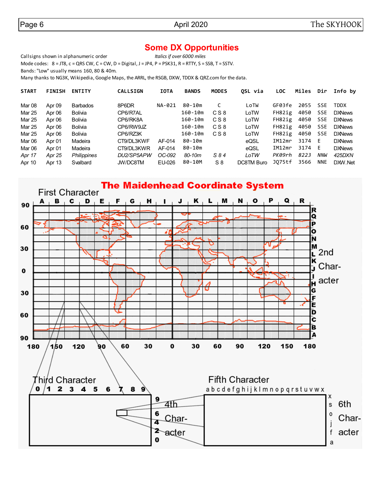### **Some DX Opportunities**

Callsigns shown in alphanumeric order *Italics if over 6000 miles* Mode codes: 8 = JT8, c = QRS CW, C = CW, D = Digital, J = JP4, P = PSK31, R = RTTY, S = SSB, T = SSTV. Bands: "Low" usually means 160, 80 & 40m.

Many thanks to NG3K, Wikipedia, Google Maps, the ARRL, the RSGB, DXW, TDDX & QRZ.com for the data.

| <b>START</b> | <b>FINISH</b> | <b>ENTITY</b>      | <b>CALLSIGN</b> | <b>IOTA</b> | <b>BANDS</b> | <b>MODES</b> | OSL via    | <b>LOC</b> | Miles | Dir        | Info by       |
|--------------|---------------|--------------------|-----------------|-------------|--------------|--------------|------------|------------|-------|------------|---------------|
| Mar 08       | Apr 09        | <b>Barbados</b>    | 8P6DR           | NA-021      | 80-10m       | C            | LoTW       | GF03fe     | 2055  | <b>SSE</b> | <b>TDDX</b>   |
| Mar 25       | Apr 06        | <b>Bolivia</b>     | CP6/R7AL        |             | 160-10m      | CS8          | LoTW       | FH82ig     | 4050  | <b>SSE</b> | <b>DXNews</b> |
| Mar 25       | Apr 06        | <b>Bolivia</b>     | CP6/RK8A        |             | 160-10m      | CS8          | LoTW       | FH82ig     | 4050  | SSE        | <b>DXNews</b> |
| Mar 25       | Apr 06        | <b>Bolivia</b>     | CP6/RW9JZ       |             | 160-10m      | C S 8        | LoTW       | FH82ig     | 4050  | SSE        | <b>DXNews</b> |
| Mar 25       | Apr 06        | <b>Bolivia</b>     | CP6/RZ3K        |             | 160-10m      | CS8          | LoTW       | FH82ig     | 4050  | SSE        | <b>DXNews</b> |
| Mar 06       | Apr 01        | Madeira            | CT9/DL3KWF      | AF-014      | 80-10m       |              | eQSL       | IM12mr     | 3174  | E          | <b>DXNews</b> |
| Mar 06       | Apr 01        | Madeira            | CT9/DL3KWR      | AF-014      | 80-10m       |              | eQSL       | IM12mr     | 3174  | E          | <b>DXNews</b> |
| Apr 17       | Apr 25        | <b>Philippines</b> | DU2/SP5APW      | OC-092      | $80 - 10m$   | S 84         | LoTW       | PK09rh     | 8223  | NNW        | 425DXN        |
| Apr 10       | Apr 13        | Svalbard           | JW/DC8TM        | EU-026      | 80-10M       | $S_8$        | DC8TM Buro | J075tf     | 3566  | <b>NNE</b> | DXW.Net       |

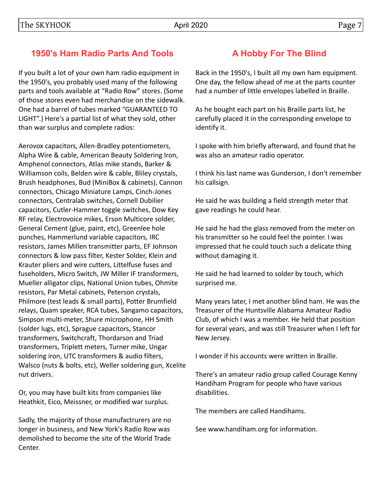### **1950's Ham Radio Parts And Tools**

If you built a lot of your own ham radio equipment in the 1950's, you probably used many of the following parts and tools available at "Radio Row" stores. (Some of those stores even had merchandise on the sidewalk. One had a barrel of tubes marked "GUARANTEED TO LIGHT".) Here's a partial list of what they sold, other than war surplus and complete radios:

Aerovox capacitors, Allen-Bradley potentiometers, Alpha Wire & cable, American Beauty Soldering Iron, Amphenol connectors, Atlas mike stands, Barker & Williamson coils, Belden wire & cable, Bliley crystals, Brush headphones, Bud (MiniBox & cabinets), Cannon connectors, Chicago Miniature Lamps, Cinch-Jones connectors, Centralab switches, Cornell Dubilier capacitors, Cutler-Hammer toggle switches, Dow Key RF relay, Electrovoice mikes, Erson Multicore solder, General Cement (glue, paint, etc), Greenlee hole punches, Hammerlund variable capacitors, IRC resistors, James Millen transmitter parts, EF Johnson connectors & low pass filter, Kester Solder, Klein and Krauter pliers and wire cutters, Littelfuse fuses and fuseholders, Micro Switch, JW Miller IF transformers, Mueller alligator clips, National Union tubes, Ohmite resistors, Par Metal cabinets, Peterson crystals, Philmore (test leads & small parts), Potter Brumfield relays, Quam speaker, RCA tubes, Sangamo capacitors, Simpson multi-meter, Shure microphone, HH Smith (solder lugs, etc), Sprague capacitors, Stancor transformers, Switchcraft, Thordarson and Triad transformers, Triplett meters, Turner mike, Ungar soldering iron, UTC transformers & audio filters, Walsco (nuts & bolts, etc), Weller soldering gun, Xcelite nut drivers.

Or, you may have built kits from companies like Heathkit, Eico, Meissner, or modified war surplus.

Sadly, the majority of those manufactrurers are no longer in business, and New York's Radio Row was demolished to become the site of the World Trade Center.

### **A Hobby For The Blind**

Back in the 1950's, I built all my own ham equipment. One day, the fellow ahead of me at the parts counter had a number of little envelopes labelled in Braille.

As he bought each part on his Braille parts list, he carefully placed it in the corresponding envelope to identify it.

I spoke with him briefly afterward, and found that he was also an amateur radio operator.

I think his last name was Gunderson, I don't remember his callsign.

He said he was building a field strength meter that gave readings he could hear.

He said he had the glass removed from the meter on his transmitter so he could feel the pointer. I was impressed that he could touch such a delicate thing without damaging it.

He said he had learned to solder by touch, which surprised me.

Many years later, I met another blind ham. He was the Treasurer of the Huntsville Alabama Amateur Radio Club, of which I was a member. He held that position for several years, and was still Treasurer when I left for New Jersey.

I wonder if his accounts were written in Braille.

There's an amateur radio group called Courage Kenny Handiham Program for people who have various disabilities.

The members are called Handihams.

See www.handiham.org for information.